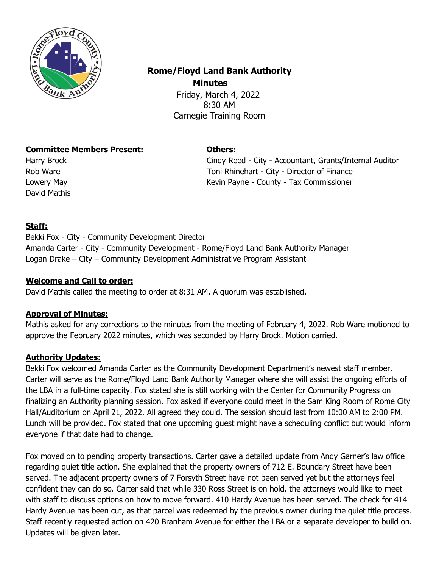

# **Rome/Floyd Land Bank Authority Minutes** Friday, March 4, 2022

8:30 AM Carnegie Training Room

# **Committee Members Present: Others:**

David Mathis

Harry Brock Cindy Reed - City - Accountant, Grants/Internal Auditor Rob Ware Toni Rhinehart - City - Director of Finance Lowery May Kevin Payne - County - Tax Commissioner

# **Staff:**

Bekki Fox - City - Community Development Director Amanda Carter - City - Community Development - Rome/Floyd Land Bank Authority Manager Logan Drake – City – Community Development Administrative Program Assistant

# **Welcome and Call to order:**

David Mathis called the meeting to order at 8:31 AM. A quorum was established.

## **Approval of Minutes:**

Mathis asked for any corrections to the minutes from the meeting of February 4, 2022. Rob Ware motioned to approve the February 2022 minutes, which was seconded by Harry Brock. Motion carried.

# **Authority Updates:**

Bekki Fox welcomed Amanda Carter as the Community Development Department's newest staff member. Carter will serve as the Rome/Floyd Land Bank Authority Manager where she will assist the ongoing efforts of the LBA in a full-time capacity. Fox stated she is still working with the Center for Community Progress on finalizing an Authority planning session. Fox asked if everyone could meet in the Sam King Room of Rome City Hall/Auditorium on April 21, 2022. All agreed they could. The session should last from 10:00 AM to 2:00 PM. Lunch will be provided. Fox stated that one upcoming guest might have a scheduling conflict but would inform everyone if that date had to change.

Fox moved on to pending property transactions. Carter gave a detailed update from Andy Garner's law office regarding quiet title action. She explained that the property owners of 712 E. Boundary Street have been served. The adjacent property owners of 7 Forsyth Street have not been served yet but the attorneys feel confident they can do so. Carter said that while 330 Ross Street is on hold, the attorneys would like to meet with staff to discuss options on how to move forward. 410 Hardy Avenue has been served. The check for 414 Hardy Avenue has been cut, as that parcel was redeemed by the previous owner during the quiet title process. Staff recently requested action on 420 Branham Avenue for either the LBA or a separate developer to build on. Updates will be given later.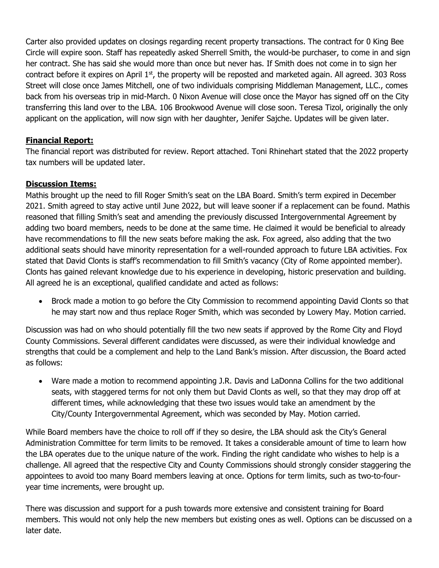Carter also provided updates on closings regarding recent property transactions. The contract for 0 King Bee Circle will expire soon. Staff has repeatedly asked Sherrell Smith, the would-be purchaser, to come in and sign her contract. She has said she would more than once but never has. If Smith does not come in to sign her contract before it expires on April 1<sup>st</sup>, the property will be reposted and marketed again. All agreed. 303 Ross Street will close once James Mitchell, one of two individuals comprising Middleman Management, LLC., comes back from his overseas trip in mid-March. 0 Nixon Avenue will close once the Mayor has signed off on the City transferring this land over to the LBA. 106 Brookwood Avenue will close soon. Teresa Tizol, originally the only applicant on the application, will now sign with her daughter, Jenifer Sajche. Updates will be given later.

# **Financial Report:**

The financial report was distributed for review. Report attached. Toni Rhinehart stated that the 2022 property tax numbers will be updated later.

## **Discussion Items:**

Mathis brought up the need to fill Roger Smith's seat on the LBA Board. Smith's term expired in December 2021. Smith agreed to stay active until June 2022, but will leave sooner if a replacement can be found. Mathis reasoned that filling Smith's seat and amending the previously discussed Intergovernmental Agreement by adding two board members, needs to be done at the same time. He claimed it would be beneficial to already have recommendations to fill the new seats before making the ask. Fox agreed, also adding that the two additional seats should have minority representation for a well-rounded approach to future LBA activities. Fox stated that David Clonts is staff's recommendation to fill Smith's vacancy (City of Rome appointed member). Clonts has gained relevant knowledge due to his experience in developing, historic preservation and building. All agreed he is an exceptional, qualified candidate and acted as follows:

• Brock made a motion to go before the City Commission to recommend appointing David Clonts so that he may start now and thus replace Roger Smith, which was seconded by Lowery May. Motion carried.

Discussion was had on who should potentially fill the two new seats if approved by the Rome City and Floyd County Commissions. Several different candidates were discussed, as were their individual knowledge and strengths that could be a complement and help to the Land Bank's mission. After discussion, the Board acted as follows:

• Ware made a motion to recommend appointing J.R. Davis and LaDonna Collins for the two additional seats, with staggered terms for not only them but David Clonts as well, so that they may drop off at different times, while acknowledging that these two issues would take an amendment by the City/County Intergovernmental Agreement, which was seconded by May. Motion carried.

While Board members have the choice to roll off if they so desire, the LBA should ask the City's General Administration Committee for term limits to be removed. It takes a considerable amount of time to learn how the LBA operates due to the unique nature of the work. Finding the right candidate who wishes to help is a challenge. All agreed that the respective City and County Commissions should strongly consider staggering the appointees to avoid too many Board members leaving at once. Options for term limits, such as two-to-fouryear time increments, were brought up.

There was discussion and support for a push towards more extensive and consistent training for Board members. This would not only help the new members but existing ones as well. Options can be discussed on a later date.